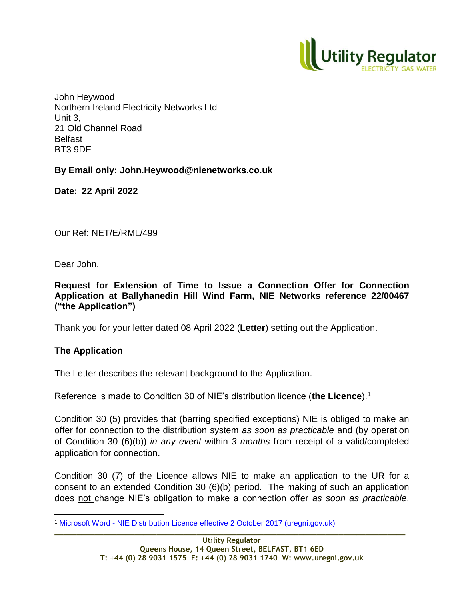

John Heywood Northern Ireland Electricity Networks Ltd Unit 3, 21 Old Channel Road Belfast BT3 9DE

**By Email only: John.Heywood@nienetworks.co.uk**

**Date: 22 April 2022**

Our Ref: NET/E/RML/499

Dear John,

**Request for Extension of Time to Issue a Connection Offer for Connection Application at Ballyhanedin Hill Wind Farm, NIE Networks reference 22/00467 ("the Application")**

Thank you for your letter dated 08 April 2022 (**Letter**) setting out the Application.

## **The Application**

 $\overline{a}$ 

The Letter describes the relevant background to the Application.

Reference is made to Condition 30 of NIE's distribution licence (**the Licence**).<sup>1</sup>

Condition 30 (5) provides that (barring specified exceptions) NIE is obliged to make an offer for connection to the distribution system *as soon as practicable* and (by operation of Condition 30 (6)(b)) *in any event* within *3 months* from receipt of a valid/completed application for connection.

Condition 30 (7) of the Licence allows NIE to make an application to the UR for a consent to an extended Condition 30 (6)(b) period. The making of such an application does not change NIE's obligation to make a connection offer *as soon as practicable*.

**\_\_\_\_\_\_\_\_\_\_\_\_\_\_\_\_\_\_\_\_\_\_\_\_\_\_\_\_\_\_\_\_\_\_\_\_\_\_\_\_\_\_\_\_\_\_\_\_\_\_\_\_\_\_\_\_\_\_\_\_\_\_\_\_\_\_\_\_\_\_\_\_\_\_\_\_\_\_\_** <sup>1</sup> Microsoft Word - [NIE Distribution Licence effective 2 October 2017 \(uregni.gov.uk\)](https://www.uregni.gov.uk/files/uregni/documents/2021-08/nie-distribution-licence-effective-16-08-2021.pdf)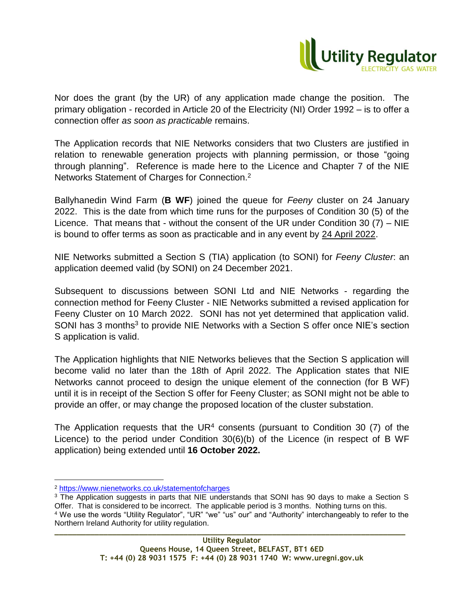

Nor does the grant (by the UR) of any application made change the position. The primary obligation - recorded in Article 20 of the Electricity (NI) Order 1992 – is to offer a connection offer *as soon as practicable* remains.

The Application records that NIE Networks considers that two Clusters are justified in relation to renewable generation projects with planning permission, or those "going through planning". Reference is made here to the Licence and Chapter 7 of the NIE Networks Statement of Charges for Connection.<sup>2</sup>

Ballyhanedin Wind Farm (**B WF**) joined the queue for *Feeny* cluster on 24 January 2022. This is the date from which time runs for the purposes of Condition 30 (5) of the Licence. That means that - without the consent of the UR under Condition 30 (7) – NIE is bound to offer terms as soon as practicable and in any event by 24 April 2022.

NIE Networks submitted a Section S (TIA) application (to SONI) for *Feeny Cluster*: an application deemed valid (by SONI) on 24 December 2021.

Subsequent to discussions between SONI Ltd and NIE Networks - regarding the connection method for Feeny Cluster - NIE Networks submitted a revised application for Feeny Cluster on 10 March 2022. SONI has not yet determined that application valid. SONI has 3 months<sup>3</sup> to provide NIE Networks with a Section S offer once NIE's section S application is valid.

The Application highlights that NIE Networks believes that the Section S application will become valid no later than the 18th of April 2022. The Application states that NIE Networks cannot proceed to design the unique element of the connection (for B WF) until it is in receipt of the Section S offer for Feeny Cluster; as SONI might not be able to provide an offer, or may change the proposed location of the cluster substation.

The Application requests that the  $UR<sup>4</sup>$  consents (pursuant to Condition 30 (7) of the Licence) to the period under Condition 30(6)(b) of the Licence (in respect of B WF application) being extended until **16 October 2022.**

 $\overline{a}$ 

**\_\_\_\_\_\_\_\_\_\_\_\_\_\_\_\_\_\_\_\_\_\_\_\_\_\_\_\_\_\_\_\_\_\_\_\_\_\_\_\_\_\_\_\_\_\_\_\_\_\_\_\_\_\_\_\_\_\_\_\_\_\_\_\_\_\_\_\_\_\_\_\_\_\_\_\_\_\_\_**

<sup>2</sup> <https://www.nienetworks.co.uk/statementofcharges>

<sup>&</sup>lt;sup>3</sup> The Application suggests in parts that NIE understands that SONI has 90 days to make a Section S Offer. That is considered to be incorrect. The applicable period is 3 months. Nothing turns on this. <sup>4</sup> We use the words "Utility Regulator", "UR" "we" "us" our" and "Authority" interchangeably to refer to the Northern Ireland Authority for utility regulation.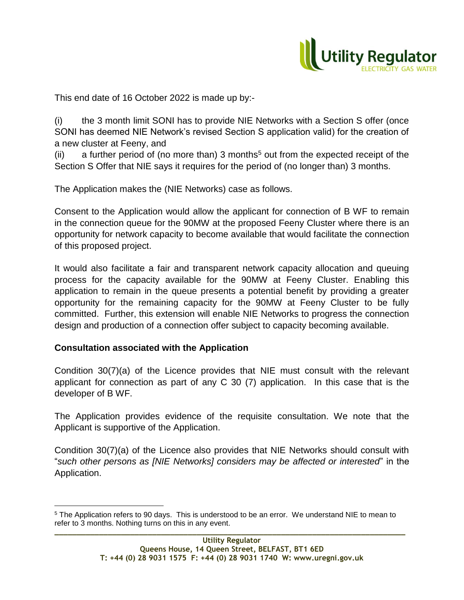

This end date of 16 October 2022 is made up by:-

(i) the 3 month limit SONI has to provide NIE Networks with a Section S offer (once SONI has deemed NIE Network's revised Section S application valid) for the creation of a new cluster at Feeny, and

(ii) a further period of (no more than) 3 months<sup>5</sup> out from the expected receipt of the Section S Offer that NIE says it requires for the period of (no longer than) 3 months.

The Application makes the (NIE Networks) case as follows.

Consent to the Application would allow the applicant for connection of B WF to remain in the connection queue for the 90MW at the proposed Feeny Cluster where there is an opportunity for network capacity to become available that would facilitate the connection of this proposed project.

It would also facilitate a fair and transparent network capacity allocation and queuing process for the capacity available for the 90MW at Feeny Cluster. Enabling this application to remain in the queue presents a potential benefit by providing a greater opportunity for the remaining capacity for the 90MW at Feeny Cluster to be fully committed. Further, this extension will enable NIE Networks to progress the connection design and production of a connection offer subject to capacity becoming available.

## **Consultation associated with the Application**

 $\overline{a}$ 

Condition 30(7)(a) of the Licence provides that NIE must consult with the relevant applicant for connection as part of any C 30 (7) application. In this case that is the developer of B WF.

The Application provides evidence of the requisite consultation. We note that the Applicant is supportive of the Application.

Condition 30(7)(a) of the Licence also provides that NIE Networks should consult with "*such other persons as [NIE Networks] considers may be affected or interested*" in the Application.

**\_\_\_\_\_\_\_\_\_\_\_\_\_\_\_\_\_\_\_\_\_\_\_\_\_\_\_\_\_\_\_\_\_\_\_\_\_\_\_\_\_\_\_\_\_\_\_\_\_\_\_\_\_\_\_\_\_\_\_\_\_\_\_\_\_\_\_\_\_\_\_\_\_\_\_\_\_\_\_** <sup>5</sup> The Application refers to 90 days. This is understood to be an error. We understand NIE to mean to refer to 3 months. Nothing turns on this in any event.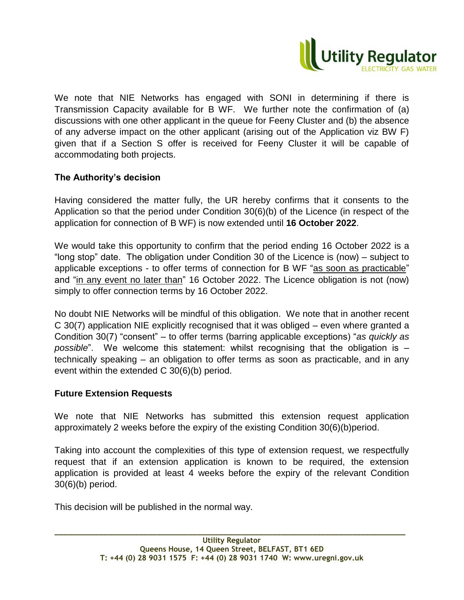

We note that NIE Networks has engaged with SONI in determining if there is Transmission Capacity available for B WF. We further note the confirmation of (a) discussions with one other applicant in the queue for Feeny Cluster and (b) the absence of any adverse impact on the other applicant (arising out of the Application viz BW F) given that if a Section S offer is received for Feeny Cluster it will be capable of accommodating both projects.

## **The Authority's decision**

Having considered the matter fully, the UR hereby confirms that it consents to the Application so that the period under Condition 30(6)(b) of the Licence (in respect of the application for connection of B WF) is now extended until **16 October 2022**.

We would take this opportunity to confirm that the period ending 16 October 2022 is a "long stop" date. The obligation under Condition 30 of the Licence is (now) – subject to applicable exceptions - to offer terms of connection for B WF "as soon as practicable" and "in any event no later than" 16 October 2022. The Licence obligation is not (now) simply to offer connection terms by 16 October 2022.

No doubt NIE Networks will be mindful of this obligation. We note that in another recent C 30(7) application NIE explicitly recognised that it was obliged – even where granted a Condition 30(7) "consent" – to offer terms (barring applicable exceptions) "*as quickly as possible*". We welcome this statement: whilst recognising that the obligation is – technically speaking – an obligation to offer terms as soon as practicable, and in any event within the extended C 30(6)(b) period.

## **Future Extension Requests**

We note that NIE Networks has submitted this extension request application approximately 2 weeks before the expiry of the existing Condition 30(6)(b)period.

Taking into account the complexities of this type of extension request, we respectfully request that if an extension application is known to be required, the extension application is provided at least 4 weeks before the expiry of the relevant Condition 30(6)(b) period.

This decision will be published in the normal way.

**\_\_\_\_\_\_\_\_\_\_\_\_\_\_\_\_\_\_\_\_\_\_\_\_\_\_\_\_\_\_\_\_\_\_\_\_\_\_\_\_\_\_\_\_\_\_\_\_\_\_\_\_\_\_\_\_\_\_\_\_\_\_\_\_\_\_\_\_\_\_\_\_\_\_\_\_\_\_\_**